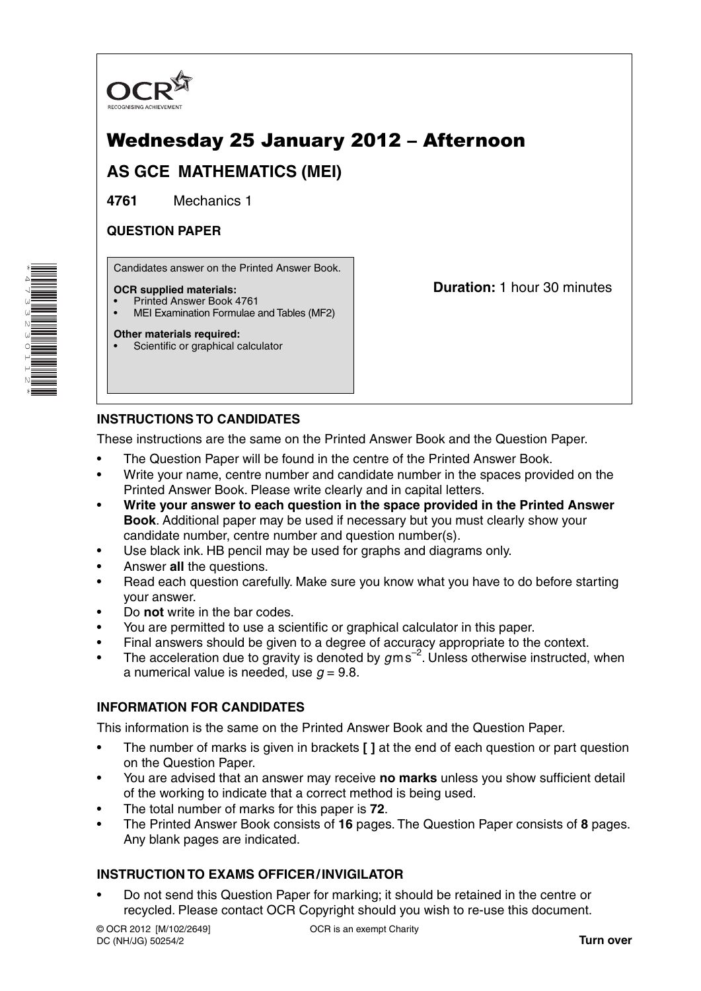

# Wednesday 25 January 2012 – Afternoon **AS GCE MATHEMATICS (MEI)**

**4761** Mechanics 1

## **QUESTION PAPER**

Candidates answer on the Printed Answer Book.

#### **OCR supplied materials:**

- Printed Answer Book 4761
- MEI Examination Formulae and Tables (MF2)

## **Other materials required:**

Scientific or graphical calculator

**Duration:** 1 hour 30 minutes

## **INSTRUCTIONS TO CANDIDATES**

These instructions are the same on the Printed Answer Book and the Question Paper.

- The Question Paper will be found in the centre of the Printed Answer Book.
- Write your name, centre number and candidate number in the spaces provided on the Printed Answer Book. Please write clearly and in capital letters.
- **Write your answer to each question in the space provided in the Printed Answer Book**. Additional paper may be used if necessary but you must clearly show your candidate number, centre number and question number(s).
- Use black ink. HB pencil may be used for graphs and diagrams only.
- Answer **all** the questions.
- Read each question carefully. Make sure you know what you have to do before starting your answer.
- Do **not** write in the bar codes.
- You are permitted to use a scientific or graphical calculator in this paper.
- Final answers should be given to a degree of accuracy appropriate to the context.
- The acceleration due to gravity is denoted by  $gms^{-2}$ . Unless otherwise instructed, when a numerical value is needed, use  $q = 9.8$ .

## **INFORMATION FOR CANDIDATES**

This information is the same on the Printed Answer Book and the Question Paper.

- The number of marks is given in brackets **[ ]** at the end of each question or part question on the Question Paper.
- You are advised that an answer may receive **no marks** unless you show sufficient detail of the working to indicate that a correct method is being used.
- The total number of marks for this paper is **72**.
- The Printed Answer Book consists of **16** pages. The Question Paper consists of **8** pages. Any blank pages are indicated.

## **INSTRUCTION TO EXAMS OFFICER / INVIGILATOR**

• Do not send this Question Paper for marking; it should be retained in the centre or recycled. Please contact OCR Copyright should you wish to re-use this document.

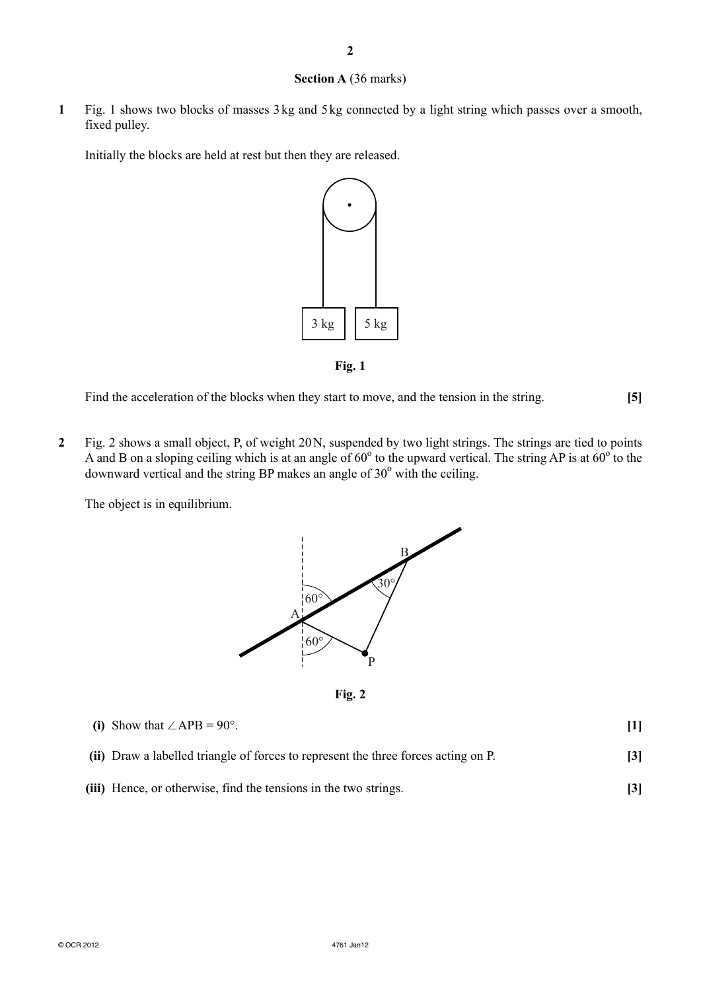#### **Section A** (36 marks)

**1** Fig. 1 shows two blocks of masses 3 kg and 5 kg connected by a light string which passes over a smooth, fixed pulley.

Initially the blocks are held at rest but then they are released.





Find the acceleration of the blocks when they start to move, and the tension in the string. **[5]**

**2** Fig. 2 shows a small object, P, of weight 20 N, suspended by two light strings. The strings are tied to points A and B on a sloping ceiling which is at an angle of  $60^{\circ}$  to the upward vertical. The string AP is at  $60^{\circ}$  to the downward vertical and the string BP makes an angle of  $30^{\circ}$  with the ceiling.

The object is in equilibrium.



**Fig. 2**

| (i) Show that $\angle APB = 90^\circ$ .                                            | $[1]$          |
|------------------------------------------------------------------------------------|----------------|
| (ii) Draw a labelled triangle of forces to represent the three forces acting on P. | $\mathbf{[3]}$ |

 **(iii)** Hence, or otherwise, find the tensions in the two strings. **[3]**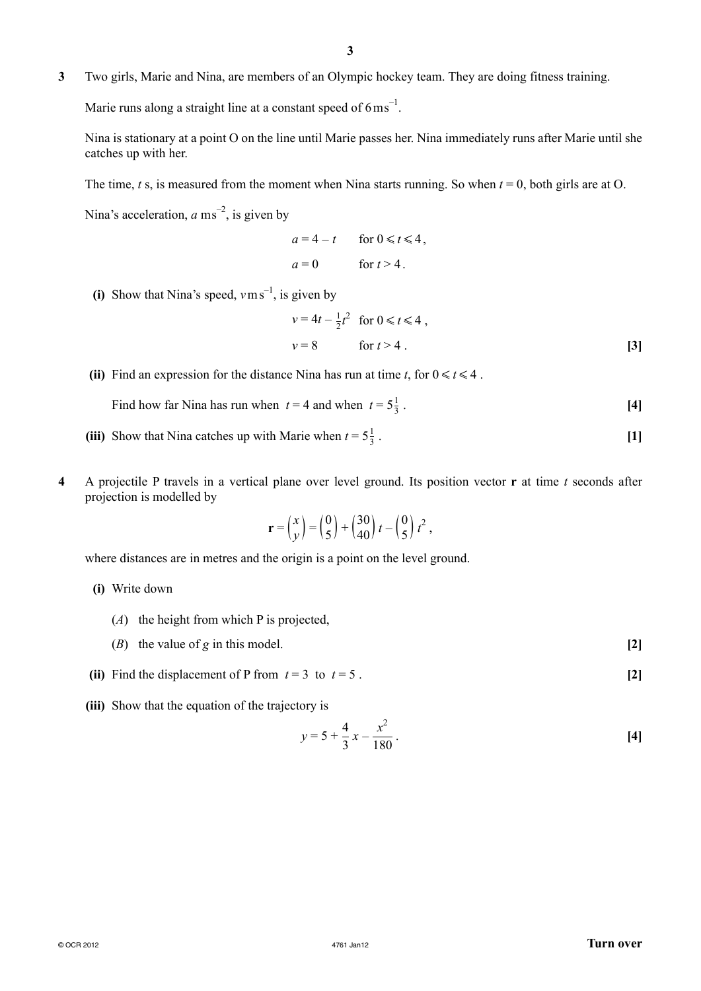**3** Two girls, Marie and Nina, are members of an Olympic hockey team. They are doing fitness training.

Marie runs along a straight line at a constant speed of  $6 \text{ ms}^{-1}$ .

Nina is stationary at a point O on the line until Marie passes her. Nina immediately runs after Marie until she catches up with her.

The time,  $t$  s, is measured from the moment when Nina starts running. So when  $t = 0$ , both girls are at O.

Nina's acceleration,  $a$  ms<sup>-2</sup>, is given by

$$
a = 4 - t \quad \text{for } 0 \le t \le 4,
$$
  

$$
a = 0 \quad \text{for } t > 4.
$$

**(i)** Show that Nina's speed,  $v \text{ m s}^{-1}$ , is given by

$$
v = 4t - \frac{1}{2}t^2 \quad \text{for } 0 \le t \le 4,
$$
  

$$
v = 8 \qquad \qquad \text{for } t > 4.
$$

**(ii)** Find an expression for the distance Nina has run at time *t*, for  $0 \le t \le 4$ .

Find how far Nina has run when  $t = 4$  and when  $t = 5\frac{1}{3}$ .  $\frac{1}{3}$  . [4]

- (iii) Show that Nina catches up with Marie when  $t = 5\frac{1}{3}$ .  $\frac{1}{3}$  . [1]
- **4** A projectile P travels in a vertical plane over level ground. Its position vector **r** at time *t* seconds after projection is modelled by

$$
\mathbf{r} = \begin{pmatrix} x \\ y \end{pmatrix} = \begin{pmatrix} 0 \\ 5 \end{pmatrix} + \begin{pmatrix} 30 \\ 40 \end{pmatrix} t - \begin{pmatrix} 0 \\ 5 \end{pmatrix} t^2 ,
$$

where distances are in metres and the origin is a point on the level ground.

### **(i)** Write down

- (*A*) the height from which P is projected,
- (*B*) the value of *g* in this model. **[2]**
- (ii) Find the displacement of P from  $t = 3$  to  $t = 5$ . [2]
- **(iii)** Show that the equation of the trajectory is

$$
y = 5 + \frac{4}{3}x - \frac{x^2}{180} \,. \tag{4}
$$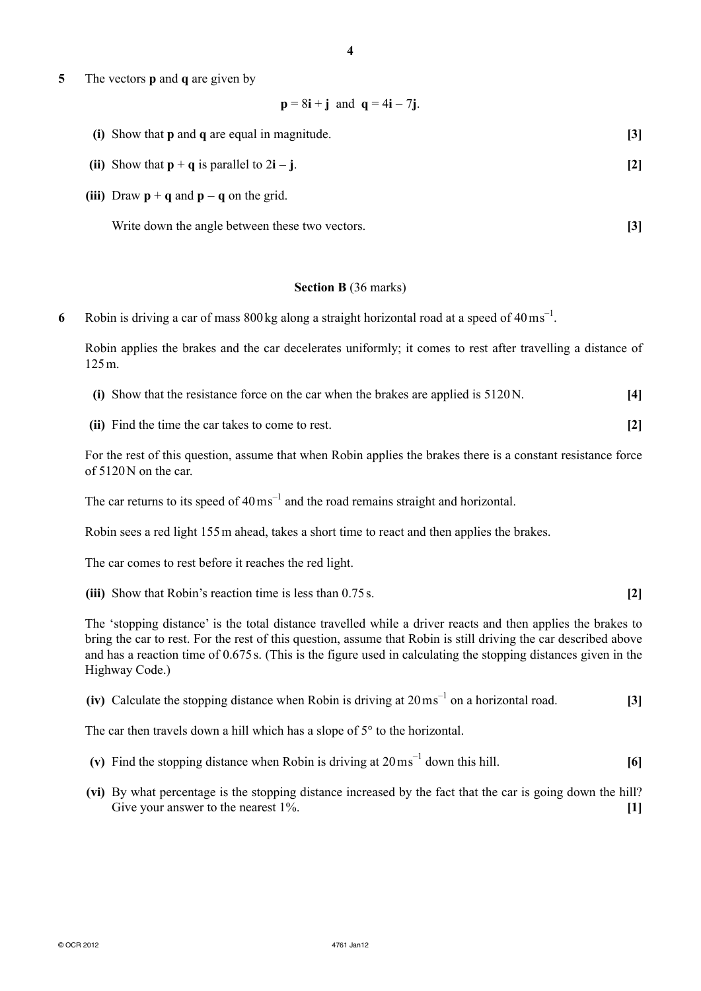**5** The vectors **p** and **q** are given by

**p** = 8**i** + **j** and **q** = 4**i** − 7**j**.

| (i) Show that <b>p</b> and <b>q</b> are equal in magnitude. | $\lceil 3 \rceil$ |
|-------------------------------------------------------------|-------------------|
| (ii) Show that $p + q$ is parallel to $2i - j$ .            | $\lceil 2 \rceil$ |
| (iii) Draw $p + q$ and $p - q$ on the grid.                 |                   |

Write down the angle between these two vectors. **[3]** 

#### **Section B** (36 marks)

6 Robin is driving a car of mass  $800 \text{ kg}$  along a straight horizontal road at a speed of  $40 \text{ ms}^{-1}$ .

Robin applies the brakes and the car decelerates uniformly; it comes to rest after travelling a distance of 125 m.

- **(i)** Show that the resistance force on the car when the brakes are applied is 5120 N. **[4]**
- **(ii)** Find the time the car takes to come to rest. **[2]**

For the rest of this question, assume that when Robin applies the brakes there is a constant resistance force of 5120 N on the car.

The car returns to its speed of  $40 \text{ ms}^{-1}$  and the road remains straight and horizontal.

Robin sees a red light 155 m ahead, takes a short time to react and then applies the brakes.

The car comes to rest before it reaches the red light.

 **(iii)** Show that Robin's reaction time is less than 0.75 s. **[2]**

The 'stopping distance' is the total distance travelled while a driver reacts and then applies the brakes to bring the car to rest. For the rest of this question, assume that Robin is still driving the car described above and has a reaction time of 0.675 s. (This is the figure used in calculating the stopping distances given in the Highway Code.)

| (iv) Calculate the stopping distance when Robin is driving at $20 \text{ ms}^{-1}$ on a horizontal road. | $[3]$ |
|----------------------------------------------------------------------------------------------------------|-------|
|                                                                                                          |       |

The car then travels down a hill which has a slope of 5° to the horizontal.

- **(v)** Find the stopping distance when Robin is driving at  $20 \text{ ms}^{-1}$  down this hill. **[6]** 
	- **(vi)** By what percentage is the stopping distance increased by the fact that the car is going down the hill? Give your answer to the nearest 1%. **[1]**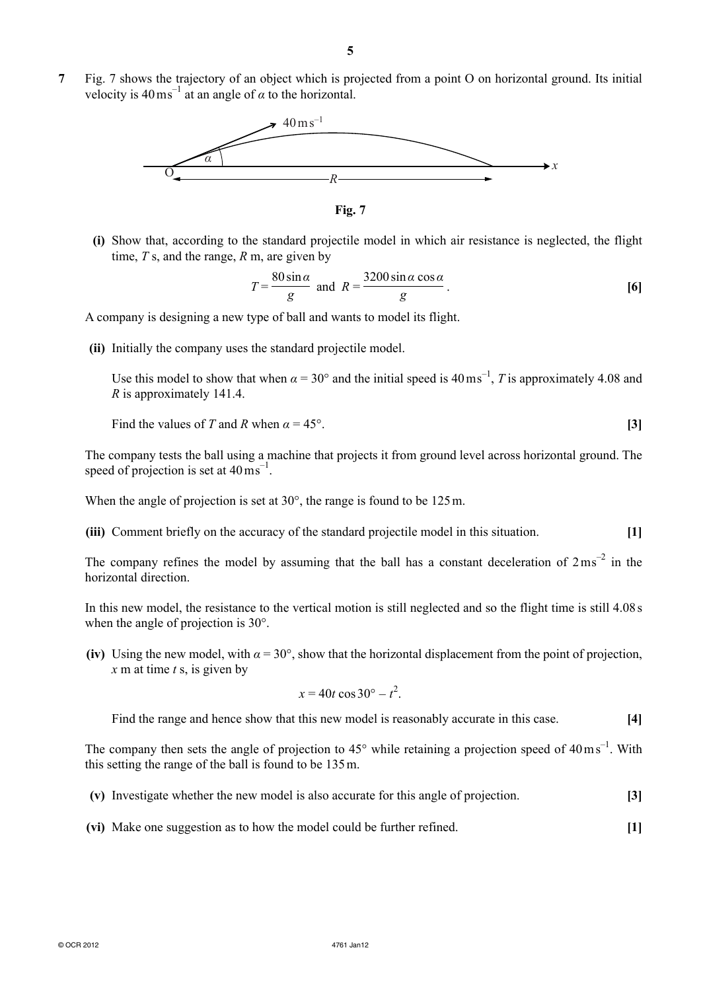**7** Fig. 7 shows the trajectory of an object which is projected from a point O on horizontal ground. Its initial velocity is  $40 \text{ ms}^{-1}$  at an angle of  $\alpha$  to the horizontal.



**Fig. 7**

 **(i)** Show that, according to the standard projectile model in which air resistance is neglected, the flight time, *T* s, and the range, *R* m, are given by

$$
T = \frac{80 \sin \alpha}{g} \text{ and } R = \frac{3200 \sin \alpha \cos \alpha}{g}.
$$
 [6]

A company is designing a new type of ball and wants to model its flight.

 **(ii)** Initially the company uses the standard projectile model.

Use this model to show that when  $\alpha = 30^{\circ}$  and the initial speed is  $40 \text{ ms}^{-1}$ , *T* is approximately 4.08 and *R* is approximately 141.4.

Find the values of T and R when 
$$
\alpha = 45^{\circ}
$$
. [3]

The company tests the ball using a machine that projects it from ground level across horizontal ground. The speed of projection is set at  $40 \text{ ms}^{-1}$ .

When the angle of projection is set at 30<sup>°</sup>, the range is found to be 125<sup>m</sup>.

 **(iii)** Comment briefly on the accuracy of the standard projectile model in this situation. **[1]**

The company refines the model by assuming that the ball has a constant deceleration of  $2 \text{ ms}^{-2}$  in the horizontal direction.

In this new model, the resistance to the vertical motion is still neglected and so the flight time is still 4.08 s when the angle of projection is 30°.

**(iv)** Using the new model, with  $\alpha = 30^{\circ}$ , show that the horizontal displacement from the point of projection, *x* m at time *t* s, is given by

$$
x = 40t\cos 30^\circ - t^2.
$$

Find the range and hence show that this new model is reasonably accurate in this case. **[4]**

The company then sets the angle of projection to  $45^{\circ}$  while retaining a projection speed of  $40 \text{ ms}^{-1}$ . With this setting the range of the ball is found to be 135 m.

- **(v)** Investigate whether the new model is also accurate for this angle of projection. **[3]**
- **(vi)** Make one suggestion as to how the model could be further refined. **[1]**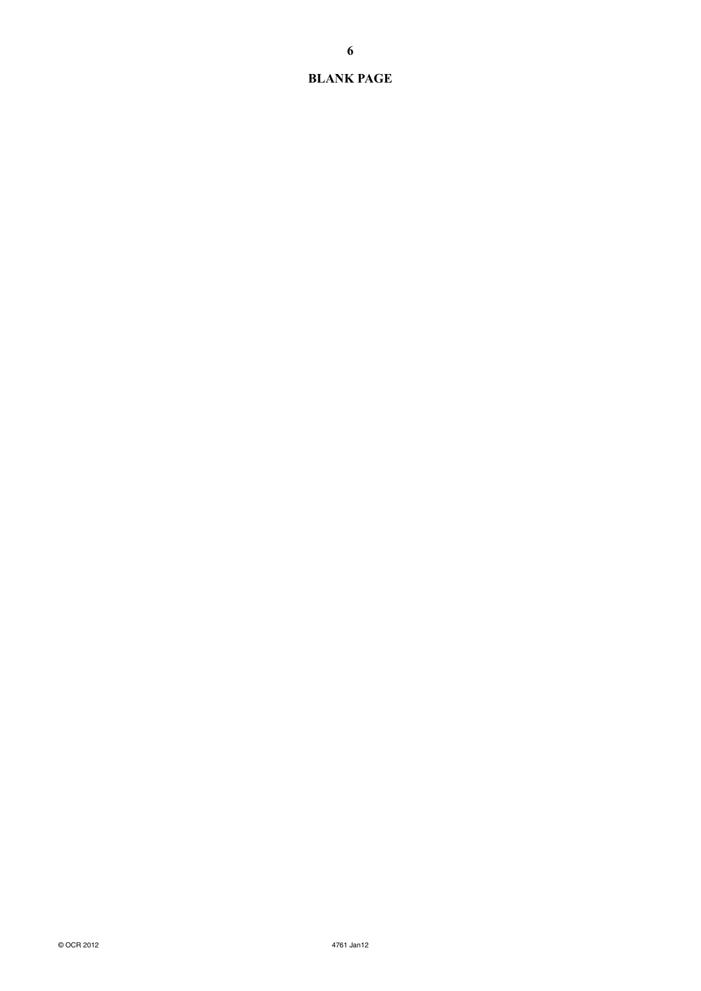## **BLANK PAGE**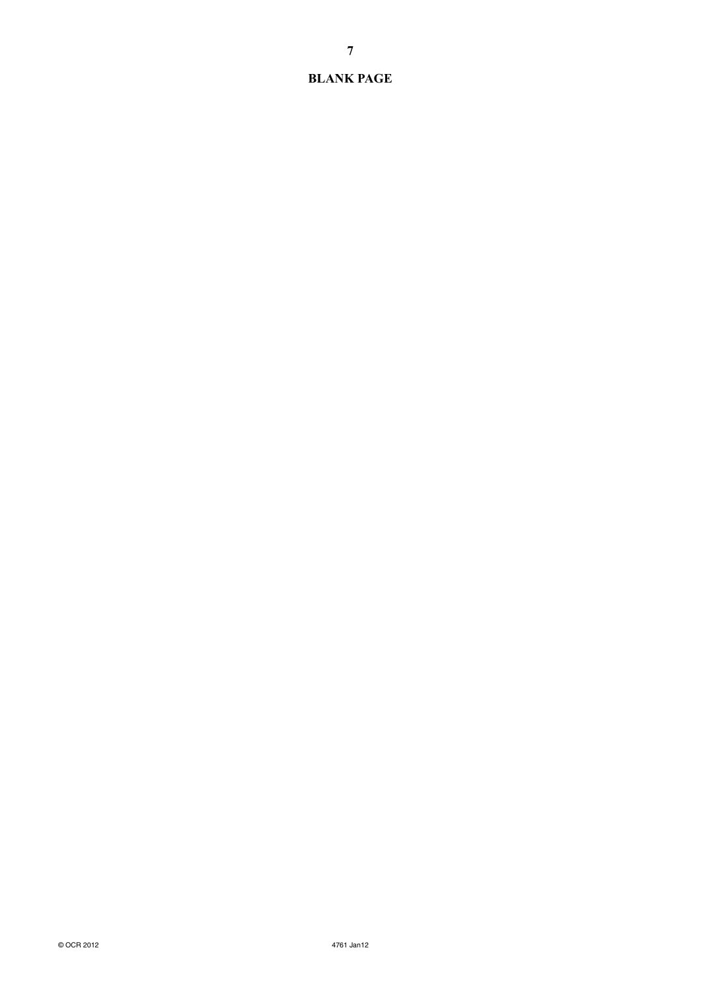## **BLANK PAGE**